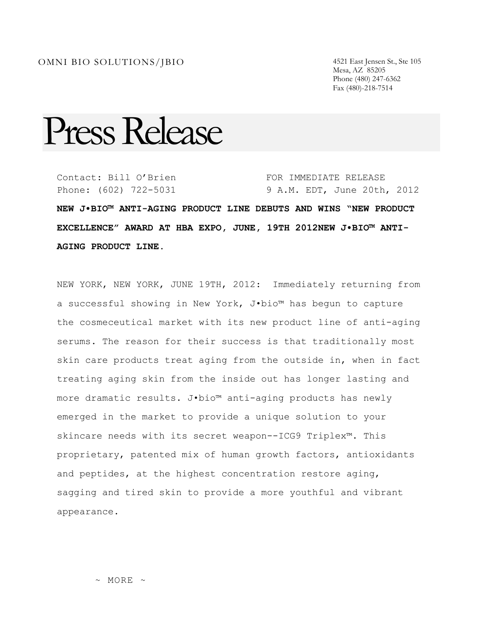Mesa, AZ 85205 Phone (480) 247-6362 Fax (480)-218-7514

## Press Release

Contact: Bill O'Brien Phone: (602) 722-5031 FOR IMMEDIATE RELEASE 9 A.M. EDT, June 20th, 2012

**NEW J•BIO™ ANTI-AGING PRODUCT LINE DEBUTS AND WINS "NEW PRODUCT EXCELLENCE" AWARD AT HBA EXPO, JUNE, 19TH 2012NEW J•BIO™ ANTI-AGING PRODUCT LINE.** 

NEW YORK, NEW YORK, JUNE 19TH, 2012: Immediately returning from a successful showing in New York, J•bio™ has begun to capture the cosmeceutical market with its new product line of anti-aging serums. The reason for their success is that traditionally most skin care products treat aging from the outside in, when in fact treating aging skin from the inside out has longer lasting and more dramatic results. J•bio™ anti-aging products has newly emerged in the market to provide a unique solution to your skincare needs with its secret weapon--ICG9 Triplex™. This proprietary, patented mix of human growth factors, antioxidants and peptides, at the highest concentration restore aging, sagging and tired skin to provide a more youthful and vibrant appearance.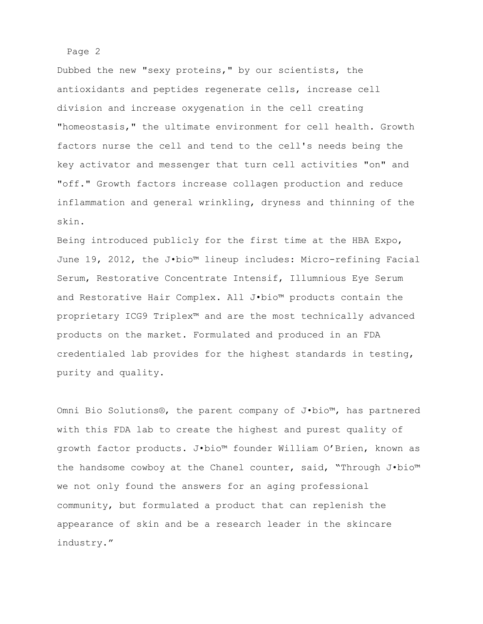Dubbed the new "sexy proteins," by our scientists, the antioxidants and peptides regenerate cells, increase cell division and increase oxygenation in the cell creating "homeostasis," the ultimate environment for cell health. Growth factors nurse the cell and tend to the cell's needs being the key activator and messenger that turn cell activities "on" and "off." Growth factors increase collagen production and reduce inflammation and general wrinkling, dryness and thinning of the skin.

Being introduced publicly for the first time at the HBA Expo, June 19, 2012, the J•bio™ lineup includes: Micro-refining Facial Serum, Restorative Concentrate Intensif, Illumnious Eye Serum and Restorative Hair Complex. All J•bio™ products contain the proprietary ICG9 Triplex™ and are the most technically advanced products on the market. Formulated and produced in an FDA credentialed lab provides for the highest standards in testing, purity and quality.

Omni Bio Solutions®, the parent company of J•bio™, has partnered with this FDA lab to create the highest and purest quality of growth factor products. J•bio™ founder William O'Brien, known as the handsome cowboy at the Chanel counter, said, "Through J•bio™ we not only found the answers for an aging professional community, but formulated a product that can replenish the appearance of skin and be a research leader in the skincare industry."

Page 2